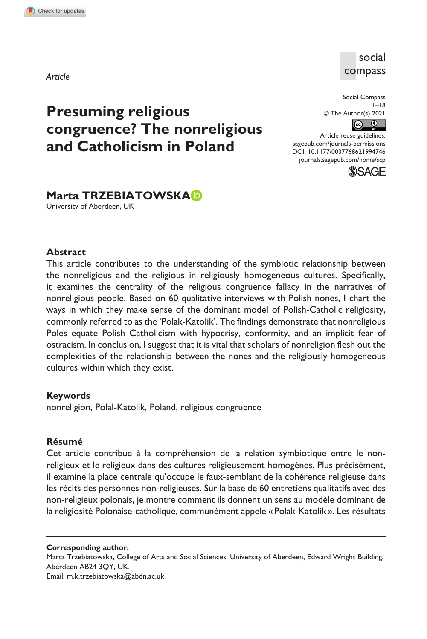**9947[46](http://crossmark.crossref.org/dialog/?doi=10.1177%2F0037768621994746&domain=pdf&date_stamp=2021-04-15)**SCP0010.1177/0037768621994746Social Compass**Trzebiatowska: Presuming religious congruence?**

*Article*

## social compass

# **Presuming religious congruence? The nonreligious and Catholicism in Poland**

Social Compass  $I - 18$ © The Author(s) 2021  $\boxed{6}$ 

DOI: 10.1177/0037768621994746 Article reuse guidelines: [sagepub.com/journals-permissions](https://uk.sagepub.com/en-gb/journals-permissions) [journals.sagepub.com/home/scp](https://journals.sagepub.com/home/scp)



# **Marta TRZEBIATOWSKA**

University of Aberdeen, UK

#### **Abstract**

This article contributes to the understanding of the symbiotic relationship between the nonreligious and the religious in religiously homogeneous cultures. Specifically, it examines the centrality of the religious congruence fallacy in the narratives of nonreligious people. Based on 60 qualitative interviews with Polish nones, I chart the ways in which they make sense of the dominant model of Polish-Catholic religiosity, commonly referred to as the 'Polak-Katolik'. The findings demonstrate that nonreligious Poles equate Polish Catholicism with hypocrisy, conformity, and an implicit fear of ostracism. In conclusion, I suggest that it is vital that scholars of nonreligion flesh out the complexities of the relationship between the nones and the religiously homogeneous cultures within which they exist.

## **Keywords**

nonreligion, Polal-Katolik, Poland, religious congruence

#### **Résumé**

Cet article contribue à la compréhension de la relation symbiotique entre le nonreligieux et le religieux dans des cultures religieusement homogènes. Plus précisément, il examine la place centrale qu'occupe le faux-semblant de la cohérence religieuse dans les récits des personnes non-religieuses. Sur la base de 60 entretiens qualitatifs avec des non-religieux polonais, je montre comment ils donnent un sens au modèle dominant de la religiosité Polonaise-catholique, communément appelé «Polak-Katolik ». Les résultats

**Corresponding author:**

Marta Trzebiatowska, College of Arts and Social Sciences, University of Aberdeen, Edward Wright Building, Aberdeen AB24 3QY, UK.

Email: [m.k.trzebiatowska@abdn.ac.uk](mailto:m.k.trzebiatowska@abdn.ac.uk)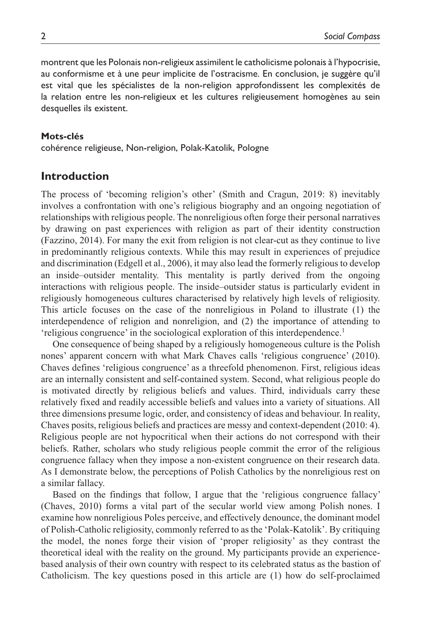montrent que les Polonais non-religieux assimilent le catholicisme polonais à l'hypocrisie, au conformisme et à une peur implicite de l'ostracisme. En conclusion, je suggère qu'il est vital que les spécialistes de la non-religion approfondissent les complexités de la relation entre les non-religieux et les cultures religieusement homogènes au sein desquelles ils existent.

#### **Mots-clés**

cohérence religieuse, Non-religion, Polak-Katolik, Pologne

## **Introduction**

The process of 'becoming religion's other' (Smith and Cragun, 2019: 8) inevitably involves a confrontation with one's religious biography and an ongoing negotiation of relationships with religious people. The nonreligious often forge their personal narratives by drawing on past experiences with religion as part of their identity construction (Fazzino, 2014). For many the exit from religion is not clear-cut as they continue to live in predominantly religious contexts. While this may result in experiences of prejudice and discrimination (Edgell et al., 2006), it may also lead the formerly religious to develop an inside–outsider mentality. This mentality is partly derived from the ongoing interactions with religious people. The inside–outsider status is particularly evident in religiously homogeneous cultures characterised by relatively high levels of religiosity. This article focuses on the case of the nonreligious in Poland to illustrate (1) the interdependence of religion and nonreligion, and (2) the importance of attending to 'religious congruence' in the sociological exploration of this interdependence.<sup>1</sup>

One consequence of being shaped by a religiously homogeneous culture is the Polish nones' apparent concern with what Mark Chaves calls 'religious congruence' (2010). Chaves defines 'religious congruence' as a threefold phenomenon. First, religious ideas are an internally consistent and self-contained system. Second, what religious people do is motivated directly by religious beliefs and values. Third, individuals carry these relatively fixed and readily accessible beliefs and values into a variety of situations. All three dimensions presume logic, order, and consistency of ideas and behaviour. In reality, Chaves posits, religious beliefs and practices are messy and context-dependent (2010: 4). Religious people are not hypocritical when their actions do not correspond with their beliefs. Rather, scholars who study religious people commit the error of the religious congruence fallacy when they impose a non-existent congruence on their research data. As I demonstrate below, the perceptions of Polish Catholics by the nonreligious rest on a similar fallacy.

Based on the findings that follow, I argue that the 'religious congruence fallacy' (Chaves, 2010) forms a vital part of the secular world view among Polish nones. I examine how nonreligious Poles perceive, and effectively denounce, the dominant model of Polish-Catholic religiosity, commonly referred to as the 'Polak-Katolik'. By critiquing the model, the nones forge their vision of 'proper religiosity' as they contrast the theoretical ideal with the reality on the ground. My participants provide an experiencebased analysis of their own country with respect to its celebrated status as the bastion of Catholicism. The key questions posed in this article are (1) how do self-proclaimed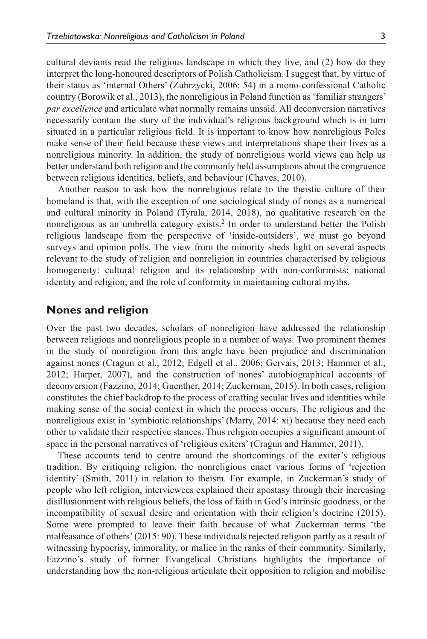cultural deviants read the religious landscape in which they live, and (2) how do they interpret the long-honoured descriptors of Polish Catholicism. I suggest that, by virtue of their status as 'internal Others' (Zubrzycki, 2006: 54) in a mono-confessional Catholic country (Borowik et al., 2013), the nonreligious in Poland function as 'familiar strangers' *par excellence* and articulate what normally remains unsaid. All deconversion narratives necessarily contain the story of the individual's religious background which is in turn situated in a particular religious field. It is important to know how nonreligious Poles make sense of their field because these views and interpretations shape their lives as a nonreligious minority. In addition, the study of nonreligious world views can help us better understand both religion and the commonly held assumptions about the congruence between religious identities, beliefs, and behaviour (Chaves, 2010).

Another reason to ask how the nonreligious relate to the theistic culture of their homeland is that, with the exception of one sociological study of nones as a numerical and cultural minority in Poland (Tyrala, 2014, 2018), no qualitative research on the nonreligious as an umbrella category exists.2 In order to understand better the Polish religious landscape from the perspective of 'inside-outsiders', we must go beyond surveys and opinion polls. The view from the minority sheds light on several aspects relevant to the study of religion and nonreligion in countries characterised by religious homogeneity: cultural religion and its relationship with non-conformists; national identity and religion; and the role of conformity in maintaining cultural myths.

#### **Nones and religion**

Over the past two decades, scholars of nonreligion have addressed the relationship between religious and nonreligious people in a number of ways. Two prominent themes in the study of nonreligion from this angle have been prejudice and discrimination against nones (Cragun et al., 2012; Edgell et al., 2006; Gervais, 2013; Hammer et al., 2012; Harper, 2007), and the construction of nones' autobiographical accounts of deconversion (Fazzino, 2014; Guenther, 2014; Zuckerman, 2015). In both cases, religion constitutes the chief backdrop to the process of crafting secular lives and identities while making sense of the social context in which the process occurs. The religious and the nonreligious exist in 'symbiotic relationships' (Marty, 2014: xi) because they need each other to validate their respective stances. Thus religion occupies a significant amount of space in the personal narratives of 'religious exiters' (Cragun and Hammer, 2011).

These accounts tend to centre around the shortcomings of the exiter's religious tradition. By critiquing religion, the nonreligious enact various forms of 'rejection identity' (Smith, 2011) in relation to theism. For example, in Zuckerman's study of people who left religion, interviewees explained their apostasy through their increasing disillusionment with religious beliefs, the loss of faith in God's intrinsic goodness, or the incompatibility of sexual desire and orientation with their religion's doctrine (2015). Some were prompted to leave their faith because of what Zuckerman terms 'the malfeasance of others' (2015: 90). These individuals rejected religion partly as a result of witnessing hypocrisy, immorality, or malice in the ranks of their community. Similarly, Fazzino's study of former Evangelical Christians highlights the importance of understanding how the non-religious articulate their opposition to religion and mobilise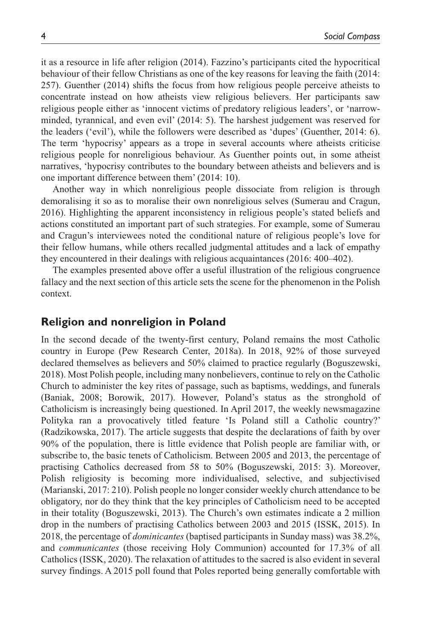it as a resource in life after religion (2014). Fazzino's participants cited the hypocritical behaviour of their fellow Christians as one of the key reasons for leaving the faith (2014: 257). Guenther (2014) shifts the focus from how religious people perceive atheists to concentrate instead on how atheists view religious believers. Her participants saw religious people either as 'innocent victims of predatory religious leaders', or 'narrowminded, tyrannical, and even evil' (2014: 5). The harshest judgement was reserved for the leaders ('evil'), while the followers were described as 'dupes' (Guenther, 2014: 6). The term 'hypocrisy' appears as a trope in several accounts where atheists criticise religious people for nonreligious behaviour. As Guenther points out, in some atheist narratives, 'hypocrisy contributes to the boundary between atheists and believers and is one important difference between them' (2014: 10).

Another way in which nonreligious people dissociate from religion is through demoralising it so as to moralise their own nonreligious selves (Sumerau and Cragun, 2016). Highlighting the apparent inconsistency in religious people's stated beliefs and actions constituted an important part of such strategies. For example, some of Sumerau and Cragun's interviewees noted the conditional nature of religious people's love for their fellow humans, while others recalled judgmental attitudes and a lack of empathy they encountered in their dealings with religious acquaintances (2016: 400–402).

The examples presented above offer a useful illustration of the religious congruence fallacy and the next section of this article sets the scene for the phenomenon in the Polish context.

## **Religion and nonreligion in Poland**

In the second decade of the twenty-first century, Poland remains the most Catholic country in Europe (Pew Research Center, 2018a). In 2018, 92% of those surveyed declared themselves as believers and 50% claimed to practice regularly (Boguszewski, 2018). Most Polish people, including many nonbelievers, continue to rely on the Catholic Church to administer the key rites of passage, such as baptisms, weddings, and funerals (Baniak, 2008; Borowik, 2017). However, Poland's status as the stronghold of Catholicism is increasingly being questioned. In April 2017, the weekly newsmagazine Polityka ran a provocatively titled feature 'Is Poland still a Catholic country?' (Radzikowska, 2017). The article suggests that despite the declarations of faith by over 90% of the population, there is little evidence that Polish people are familiar with, or subscribe to, the basic tenets of Catholicism. Between 2005 and 2013, the percentage of practising Catholics decreased from 58 to 50% (Boguszewski, 2015: 3). Moreover, Polish religiosity is becoming more individualised, selective, and subjectivised (Marianski, 2017: 210). Polish people no longer consider weekly church attendance to be obligatory, nor do they think that the key principles of Catholicism need to be accepted in their totality (Boguszewski, 2013). The Church's own estimates indicate a 2 million drop in the numbers of practising Catholics between 2003 and 2015 (ISSK, 2015). In 2018, the percentage of *dominicantes* (baptised participants in Sunday mass) was 38.2%, and *communicantes* (those receiving Holy Communion) accounted for 17.3% of all Catholics (ISSK, 2020). The relaxation of attitudes to the sacred is also evident in several survey findings. A 2015 poll found that Poles reported being generally comfortable with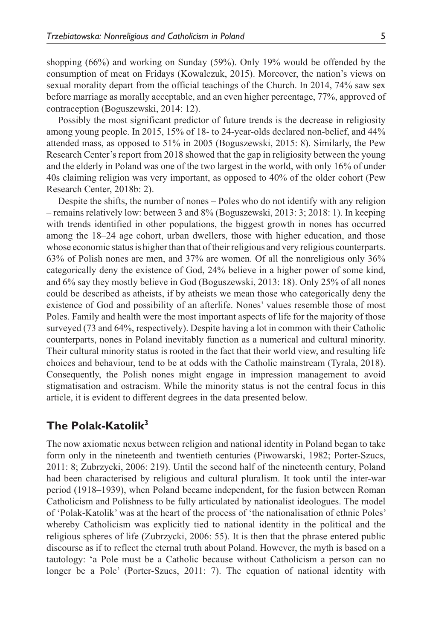shopping (66%) and working on Sunday (59%). Only 19% would be offended by the consumption of meat on Fridays (Kowalczuk, 2015). Moreover, the nation's views on sexual morality depart from the official teachings of the Church. In 2014, 74% saw sex before marriage as morally acceptable, and an even higher percentage, 77%, approved of contraception (Boguszewski, 2014: 12).

Possibly the most significant predictor of future trends is the decrease in religiosity among young people. In 2015, 15% of 18- to 24-year-olds declared non-belief, and 44% attended mass, as opposed to 51% in 2005 (Boguszewski, 2015: 8). Similarly, the Pew Research Center's report from 2018 showed that the gap in religiosity between the young and the elderly in Poland was one of the two largest in the world, with only 16% of under 40s claiming religion was very important, as opposed to 40% of the older cohort (Pew Research Center, 2018b: 2).

Despite the shifts, the number of nones – Poles who do not identify with any religion – remains relatively low: between 3 and 8% (Boguszewski, 2013: 3; 2018: 1). In keeping with trends identified in other populations, the biggest growth in nones has occurred among the 18–24 age cohort, urban dwellers, those with higher education, and those whose economic status is higher than that of their religious and very religious counterparts. 63% of Polish nones are men, and 37% are women. Of all the nonreligious only 36% categorically deny the existence of God, 24% believe in a higher power of some kind, and 6% say they mostly believe in God (Boguszewski, 2013: 18). Only 25% of all nones could be described as atheists, if by atheists we mean those who categorically deny the existence of God and possibility of an afterlife. Nones' values resemble those of most Poles. Family and health were the most important aspects of life for the majority of those surveyed (73 and 64%, respectively). Despite having a lot in common with their Catholic counterparts, nones in Poland inevitably function as a numerical and cultural minority. Their cultural minority status is rooted in the fact that their world view, and resulting life choices and behaviour, tend to be at odds with the Catholic mainstream (Tyrala, 2018). Consequently, the Polish nones might engage in impression management to avoid stigmatisation and ostracism. While the minority status is not the central focus in this article, it is evident to different degrees in the data presented below.

## **The Polak-Katolik3**

The now axiomatic nexus between religion and national identity in Poland began to take form only in the nineteenth and twentieth centuries (Piwowarski, 1982; Porter-Szucs, 2011: 8; Zubrzycki, 2006: 219). Until the second half of the nineteenth century, Poland had been characterised by religious and cultural pluralism. It took until the inter-war period (1918–1939), when Poland became independent, for the fusion between Roman Catholicism and Polishness to be fully articulated by nationalist ideologues. The model of 'Polak-Katolik' was at the heart of the process of 'the nationalisation of ethnic Poles' whereby Catholicism was explicitly tied to national identity in the political and the religious spheres of life (Zubrzycki, 2006: 55). It is then that the phrase entered public discourse as if to reflect the eternal truth about Poland. However, the myth is based on a tautology: 'a Pole must be a Catholic because without Catholicism a person can no longer be a Pole' (Porter-Szucs, 2011: 7). The equation of national identity with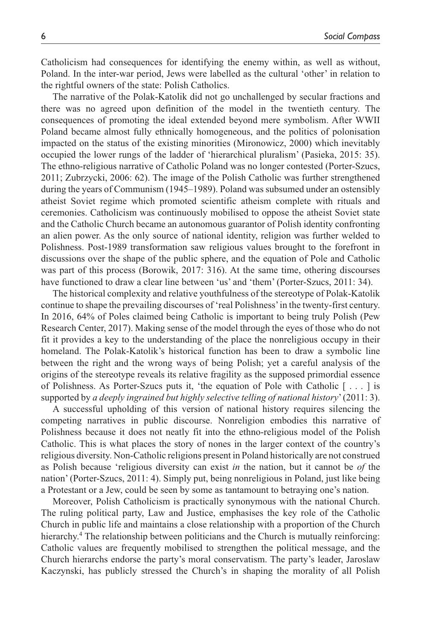Catholicism had consequences for identifying the enemy within, as well as without, Poland. In the inter-war period, Jews were labelled as the cultural 'other' in relation to the rightful owners of the state: Polish Catholics.

The narrative of the Polak-Katolik did not go unchallenged by secular fractions and there was no agreed upon definition of the model in the twentieth century. The consequences of promoting the ideal extended beyond mere symbolism. After WWII Poland became almost fully ethnically homogeneous, and the politics of polonisation impacted on the status of the existing minorities (Mironowicz, 2000) which inevitably occupied the lower rungs of the ladder of 'hierarchical pluralism' (Pasieka, 2015: 35). The ethno-religious narrative of Catholic Poland was no longer contested (Porter-Szucs, 2011; Zubrzycki, 2006: 62). The image of the Polish Catholic was further strengthened during the years of Communism (1945–1989). Poland was subsumed under an ostensibly atheist Soviet regime which promoted scientific atheism complete with rituals and ceremonies. Catholicism was continuously mobilised to oppose the atheist Soviet state and the Catholic Church became an autonomous guarantor of Polish identity confronting an alien power. As the only source of national identity, religion was further welded to Polishness. Post-1989 transformation saw religious values brought to the forefront in discussions over the shape of the public sphere, and the equation of Pole and Catholic was part of this process (Borowik, 2017: 316). At the same time, othering discourses have functioned to draw a clear line between 'us' and 'them' (Porter-Szucs, 2011: 34).

The historical complexity and relative youthfulness of the stereotype of Polak-Katolik continue to shape the prevailing discourses of 'real Polishness' in the twenty-first century. In 2016, 64% of Poles claimed being Catholic is important to being truly Polish (Pew Research Center, 2017). Making sense of the model through the eyes of those who do not fit it provides a key to the understanding of the place the nonreligious occupy in their homeland. The Polak-Katolik's historical function has been to draw a symbolic line between the right and the wrong ways of being Polish; yet a careful analysis of the origins of the stereotype reveals its relative fragility as the supposed primordial essence of Polishness. As Porter-Szucs puts it, 'the equation of Pole with Catholic [ . . . ] is supported by *a deeply ingrained but highly selective telling of national history*' (2011: 3).

A successful upholding of this version of national history requires silencing the competing narratives in public discourse. Nonreligion embodies this narrative of Polishness because it does not neatly fit into the ethno-religious model of the Polish Catholic. This is what places the story of nones in the larger context of the country's religious diversity. Non-Catholic religions present in Poland historically are not construed as Polish because 'religious diversity can exist *in* the nation, but it cannot be *of* the nation' (Porter-Szucs, 2011: 4). Simply put, being nonreligious in Poland, just like being a Protestant or a Jew, could be seen by some as tantamount to betraying one's nation.

Moreover, Polish Catholicism is practically synonymous with the national Church. The ruling political party, Law and Justice, emphasises the key role of the Catholic Church in public life and maintains a close relationship with a proportion of the Church hierarchy.<sup>4</sup> The relationship between politicians and the Church is mutually reinforcing: Catholic values are frequently mobilised to strengthen the political message, and the Church hierarchs endorse the party's moral conservatism. The party's leader, Jaroslaw Kaczynski, has publicly stressed the Church's in shaping the morality of all Polish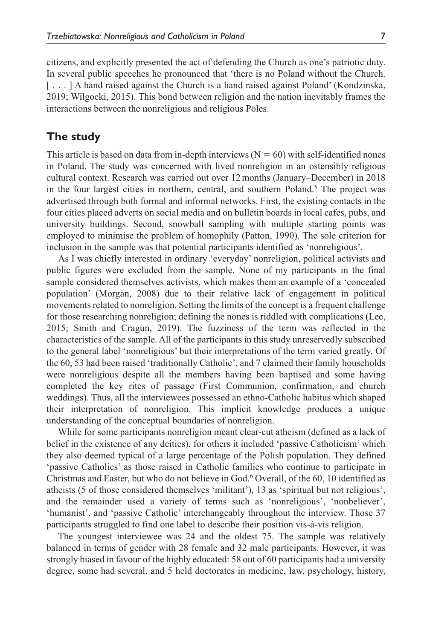citizens, and explicitly presented the act of defending the Church as one's patriotic duty. In several public speeches he pronounced that 'there is no Poland without the Church. [...] A hand raised against the Church is a hand raised against Poland' (Kondzinska, 2019; Wilgocki, 2015). This bond between religion and the nation inevitably frames the interactions between the nonreligious and religious Poles.

## **The study**

This article is based on data from in-depth interviews ( $N = 60$ ) with self-identified nones in Poland. The study was concerned with lived nonreligion in an ostensibly religious cultural context. Research was carried out over 12months (January–December) in 2018 in the four largest cities in northern, central, and southern Poland.<sup>5</sup> The project was advertised through both formal and informal networks. First, the existing contacts in the four cities placed adverts on social media and on bulletin boards in local cafes, pubs, and university buildings. Second, snowball sampling with multiple starting points was employed to minimise the problem of homophily (Patton, 1990). The sole criterion for inclusion in the sample was that potential participants identified as 'nonreligious'.

As I was chiefly interested in ordinary 'everyday' nonreligion, political activists and public figures were excluded from the sample. None of my participants in the final sample considered themselves activists, which makes them an example of a 'concealed population' (Morgan, 2008) due to their relative lack of engagement in political movements related to nonreligion. Setting the limits of the concept is a frequent challenge for those researching nonreligion; defining the nones is riddled with complications (Lee, 2015; Smith and Cragun, 2019). The fuzziness of the term was reflected in the characteristics of the sample. All of the participants in this study unreservedly subscribed to the general label 'nonreligious' but their interpretations of the term varied greatly. Of the 60, 53 had been raised 'traditionally Catholic', and 7 claimed their family households were nonreligious despite all the members having been baptised and some having completed the key rites of passage (First Communion, confirmation, and church weddings). Thus, all the interviewees possessed an ethno-Catholic habitus which shaped their interpretation of nonreligion. This implicit knowledge produces a unique understanding of the conceptual boundaries of nonreligion.

While for some participants nonreligion meant clear-cut atheism (defined as a lack of belief in the existence of any deities), for others it included 'passive Catholicism' which they also deemed typical of a large percentage of the Polish population. They defined 'passive Catholics' as those raised in Catholic families who continue to participate in Christmas and Easter, but who do not believe in God.<sup>6</sup> Overall, of the 60, 10 identified as atheists (5 of those considered themselves 'militant'), 13 as 'spiritual but not religious', and the remainder used a variety of terms such as 'nonreligious', 'nonbeliever', 'humanist', and 'passive Catholic' interchangeably throughout the interview. Those 37 participants struggled to find one label to describe their position vis-à-vis religion.

The youngest interviewee was 24 and the oldest 75. The sample was relatively balanced in terms of gender with 28 female and 32 male participants. However, it was strongly biased in favour of the highly educated: 58 out of 60 participants had a university degree, some had several, and 5 held doctorates in medicine, law, psychology, history,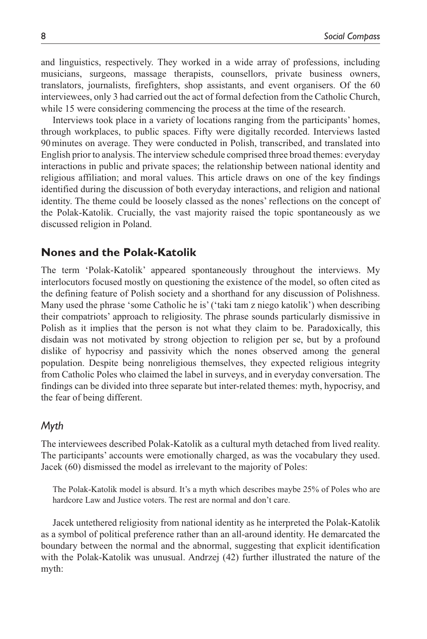and linguistics, respectively. They worked in a wide array of professions, including musicians, surgeons, massage therapists, counsellors, private business owners, translators, journalists, firefighters, shop assistants, and event organisers. Of the 60 interviewees, only 3 had carried out the act of formal defection from the Catholic Church, while 15 were considering commencing the process at the time of the research.

Interviews took place in a variety of locations ranging from the participants' homes, through workplaces, to public spaces. Fifty were digitally recorded. Interviews lasted 90minutes on average. They were conducted in Polish, transcribed, and translated into English prior to analysis. The interview schedule comprised three broad themes: everyday interactions in public and private spaces; the relationship between national identity and religious affiliation; and moral values. This article draws on one of the key findings identified during the discussion of both everyday interactions, and religion and national identity. The theme could be loosely classed as the nones' reflections on the concept of the Polak-Katolik. Crucially, the vast majority raised the topic spontaneously as we discussed religion in Poland.

## **Nones and the Polak-Katolik**

The term 'Polak-Katolik' appeared spontaneously throughout the interviews. My interlocutors focused mostly on questioning the existence of the model, so often cited as the defining feature of Polish society and a shorthand for any discussion of Polishness. Many used the phrase 'some Catholic he is' ('taki tam z niego katolik') when describing their compatriots' approach to religiosity. The phrase sounds particularly dismissive in Polish as it implies that the person is not what they claim to be. Paradoxically, this disdain was not motivated by strong objection to religion per se, but by a profound dislike of hypocrisy and passivity which the nones observed among the general population. Despite being nonreligious themselves, they expected religious integrity from Catholic Poles who claimed the label in surveys, and in everyday conversation. The findings can be divided into three separate but inter-related themes: myth, hypocrisy, and the fear of being different.

## *Myth*

The interviewees described Polak-Katolik as a cultural myth detached from lived reality. The participants' accounts were emotionally charged, as was the vocabulary they used. Jacek (60) dismissed the model as irrelevant to the majority of Poles:

The Polak-Katolik model is absurd. It's a myth which describes maybe 25% of Poles who are hardcore Law and Justice voters. The rest are normal and don't care.

Jacek untethered religiosity from national identity as he interpreted the Polak-Katolik as a symbol of political preference rather than an all-around identity. He demarcated the boundary between the normal and the abnormal, suggesting that explicit identification with the Polak-Katolik was unusual. Andrzej (42) further illustrated the nature of the myth: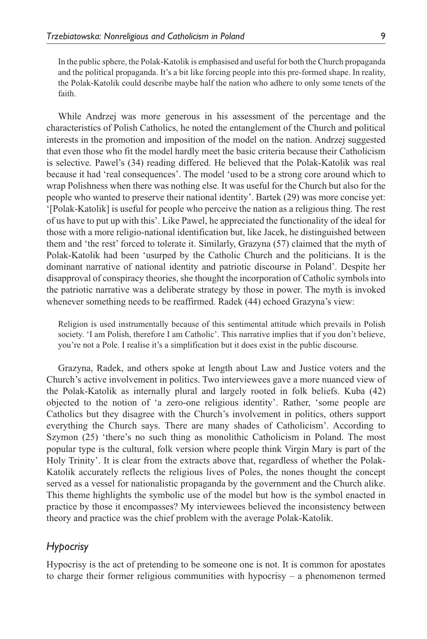In the public sphere, the Polak-Katolik is emphasised and useful for both the Church propaganda and the political propaganda. It's a bit like forcing people into this pre-formed shape. In reality, the Polak-Katolik could describe maybe half the nation who adhere to only some tenets of the faith.

While Andrzej was more generous in his assessment of the percentage and the characteristics of Polish Catholics, he noted the entanglement of the Church and political interests in the promotion and imposition of the model on the nation. Andrzej suggested that even those who fit the model hardly meet the basic criteria because their Catholicism is selective. Pawel's (34) reading differed. He believed that the Polak-Katolik was real because it had 'real consequences'. The model 'used to be a strong core around which to wrap Polishness when there was nothing else. It was useful for the Church but also for the people who wanted to preserve their national identity'. Bartek (29) was more concise yet: '[Polak-Katolik] is useful for people who perceive the nation as a religious thing. The rest of us have to put up with this'. Like Pawel, he appreciated the functionality of the ideal for those with a more religio-national identification but, like Jacek, he distinguished between them and 'the rest' forced to tolerate it. Similarly, Grazyna (57) claimed that the myth of Polak-Katolik had been 'usurped by the Catholic Church and the politicians. It is the dominant narrative of national identity and patriotic discourse in Poland'. Despite her disapproval of conspiracy theories, she thought the incorporation of Catholic symbols into the patriotic narrative was a deliberate strategy by those in power. The myth is invoked whenever something needs to be reaffirmed. Radek (44) echoed Grazyna's view:

Religion is used instrumentally because of this sentimental attitude which prevails in Polish society. 'I am Polish, therefore I am Catholic'. This narrative implies that if you don't believe, you're not a Pole. I realise it's a simplification but it does exist in the public discourse.

Grazyna, Radek, and others spoke at length about Law and Justice voters and the Church's active involvement in politics. Two interviewees gave a more nuanced view of the Polak-Katolik as internally plural and largely rooted in folk beliefs. Kuba (42) objected to the notion of 'a zero-one religious identity'. Rather, 'some people are Catholics but they disagree with the Church's involvement in politics, others support everything the Church says. There are many shades of Catholicism'. According to Szymon (25) 'there's no such thing as monolithic Catholicism in Poland. The most popular type is the cultural, folk version where people think Virgin Mary is part of the Holy Trinity'. It is clear from the extracts above that, regardless of whether the Polak-Katolik accurately reflects the religious lives of Poles, the nones thought the concept served as a vessel for nationalistic propaganda by the government and the Church alike. This theme highlights the symbolic use of the model but how is the symbol enacted in practice by those it encompasses? My interviewees believed the inconsistency between theory and practice was the chief problem with the average Polak-Katolik.

## *Hypocrisy*

Hypocrisy is the act of pretending to be someone one is not. It is common for apostates to charge their former religious communities with hypocrisy – a phenomenon termed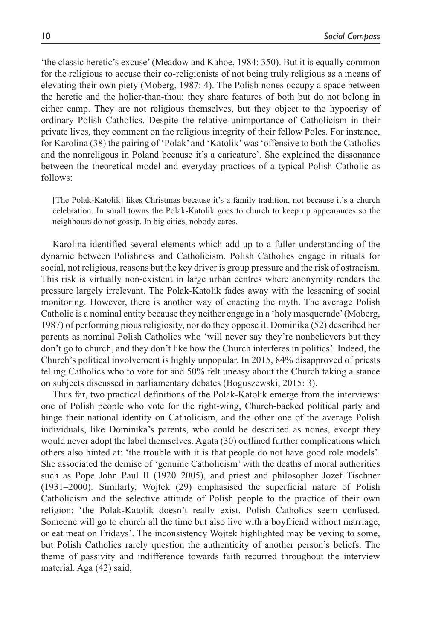'the classic heretic's excuse' (Meadow and Kahoe, 1984: 350). But it is equally common for the religious to accuse their co-religionists of not being truly religious as a means of elevating their own piety (Moberg, 1987: 4). The Polish nones occupy a space between the heretic and the holier-than-thou: they share features of both but do not belong in either camp. They are not religious themselves, but they object to the hypocrisy of ordinary Polish Catholics. Despite the relative unimportance of Catholicism in their private lives, they comment on the religious integrity of their fellow Poles. For instance, for Karolina (38) the pairing of 'Polak' and 'Katolik' was 'offensive to both the Catholics and the nonreligous in Poland because it's a caricature'. She explained the dissonance between the theoretical model and everyday practices of a typical Polish Catholic as follows:

[The Polak-Katolik] likes Christmas because it's a family tradition, not because it's a church celebration. In small towns the Polak-Katolik goes to church to keep up appearances so the neighbours do not gossip. In big cities, nobody cares.

Karolina identified several elements which add up to a fuller understanding of the dynamic between Polishness and Catholicism. Polish Catholics engage in rituals for social, not religious, reasons but the key driver is group pressure and the risk of ostracism. This risk is virtually non-existent in large urban centres where anonymity renders the pressure largely irrelevant. The Polak-Katolik fades away with the lessening of social monitoring. However, there is another way of enacting the myth. The average Polish Catholic is a nominal entity because they neither engage in a 'holy masquerade' (Moberg, 1987) of performing pious religiosity, nor do they oppose it. Dominika (52) described her parents as nominal Polish Catholics who 'will never say they're nonbelievers but they don't go to church, and they don't like how the Church interferes in politics'. Indeed, the Church's political involvement is highly unpopular. In 2015, 84% disapproved of priests telling Catholics who to vote for and 50% felt uneasy about the Church taking a stance on subjects discussed in parliamentary debates (Boguszewski, 2015: 3).

Thus far, two practical definitions of the Polak-Katolik emerge from the interviews: one of Polish people who vote for the right-wing, Church-backed political party and hinge their national identity on Catholicism, and the other one of the average Polish individuals, like Dominika's parents, who could be described as nones, except they would never adopt the label themselves. Agata (30) outlined further complications which others also hinted at: 'the trouble with it is that people do not have good role models'. She associated the demise of 'genuine Catholicism' with the deaths of moral authorities such as Pope John Paul II (1920–2005), and priest and philosopher Jozef Tischner (1931–2000). Similarly, Wojtek (29) emphasised the superficial nature of Polish Catholicism and the selective attitude of Polish people to the practice of their own religion: 'the Polak-Katolik doesn't really exist. Polish Catholics seem confused. Someone will go to church all the time but also live with a boyfriend without marriage, or eat meat on Fridays'. The inconsistency Wojtek highlighted may be vexing to some, but Polish Catholics rarely question the authenticity of another person's beliefs. The theme of passivity and indifference towards faith recurred throughout the interview material. Aga (42) said,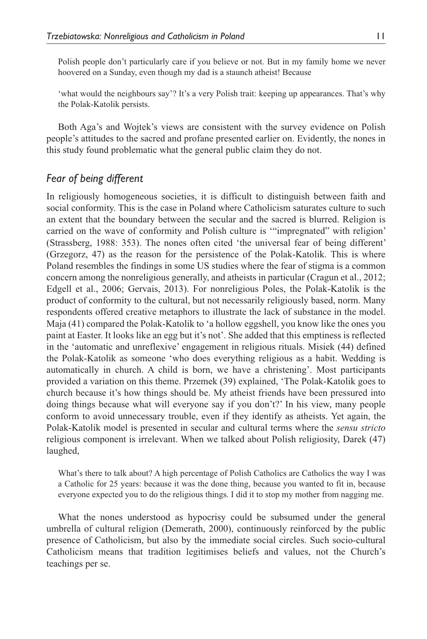Polish people don't particularly care if you believe or not. But in my family home we never hoovered on a Sunday, even though my dad is a staunch atheist! Because

'what would the neighbours say'? It's a very Polish trait: keeping up appearances. That's why the Polak-Katolik persists.

Both Aga's and Wojtek's views are consistent with the survey evidence on Polish people's attitudes to the sacred and profane presented earlier on. Evidently, the nones in this study found problematic what the general public claim they do not.

## *Fear of being different*

In religiously homogeneous societies, it is difficult to distinguish between faith and social conformity. This is the case in Poland where Catholicism saturates culture to such an extent that the boundary between the secular and the sacred is blurred. Religion is carried on the wave of conformity and Polish culture is '"impregnated" with religion' (Strassberg, 1988: 353). The nones often cited 'the universal fear of being different' (Grzegorz, 47) as the reason for the persistence of the Polak-Katolik. This is where Poland resembles the findings in some US studies where the fear of stigma is a common concern among the nonreligious generally, and atheists in particular (Cragun et al., 2012; Edgell et al., 2006; Gervais, 2013). For nonreligious Poles, the Polak-Katolik is the product of conformity to the cultural, but not necessarily religiously based, norm. Many respondents offered creative metaphors to illustrate the lack of substance in the model. Maja (41) compared the Polak-Katolik to 'a hollow eggshell, you know like the ones you paint at Easter. It looks like an egg but it's not'. She added that this emptiness is reflected in the 'automatic and unreflexive' engagement in religious rituals. Misiek (44) defined the Polak-Katolik as someone 'who does everything religious as a habit. Wedding is automatically in church. A child is born, we have a christening'. Most participants provided a variation on this theme. Przemek (39) explained, 'The Polak-Katolik goes to church because it's how things should be. My atheist friends have been pressured into doing things because what will everyone say if you don't?' In his view, many people conform to avoid unnecessary trouble, even if they identify as atheists. Yet again, the Polak-Katolik model is presented in secular and cultural terms where the *sensu stricto* religious component is irrelevant. When we talked about Polish religiosity, Darek (47) laughed,

What's there to talk about? A high percentage of Polish Catholics are Catholics the way I was a Catholic for 25 years: because it was the done thing, because you wanted to fit in, because everyone expected you to do the religious things. I did it to stop my mother from nagging me.

What the nones understood as hypocrisy could be subsumed under the general umbrella of cultural religion (Demerath, 2000), continuously reinforced by the public presence of Catholicism, but also by the immediate social circles. Such socio-cultural Catholicism means that tradition legitimises beliefs and values, not the Church's teachings per se.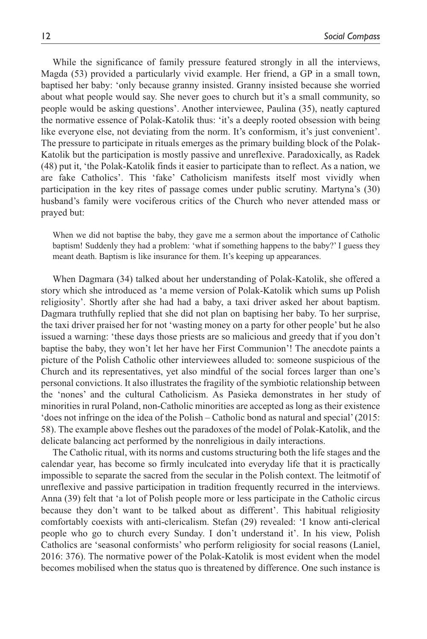While the significance of family pressure featured strongly in all the interviews, Magda (53) provided a particularly vivid example. Her friend, a GP in a small town, baptised her baby: 'only because granny insisted. Granny insisted because she worried about what people would say. She never goes to church but it's a small community, so people would be asking questions'. Another interviewee, Paulina (35), neatly captured the normative essence of Polak-Katolik thus: 'it's a deeply rooted obsession with being like everyone else, not deviating from the norm. It's conformism, it's just convenient'. The pressure to participate in rituals emerges as the primary building block of the Polak-Katolik but the participation is mostly passive and unreflexive. Paradoxically, as Radek (48) put it, 'the Polak-Katolik finds it easier to participate than to reflect. As a nation, we are fake Catholics'. This 'fake' Catholicism manifests itself most vividly when participation in the key rites of passage comes under public scrutiny. Martyna's (30) husband's family were vociferous critics of the Church who never attended mass or prayed but:

When we did not baptise the baby, they gave me a sermon about the importance of Catholic baptism! Suddenly they had a problem: 'what if something happens to the baby?' I guess they meant death. Baptism is like insurance for them. It's keeping up appearances.

When Dagmara (34) talked about her understanding of Polak-Katolik, she offered a story which she introduced as 'a meme version of Polak-Katolik which sums up Polish religiosity'. Shortly after she had had a baby, a taxi driver asked her about baptism. Dagmara truthfully replied that she did not plan on baptising her baby. To her surprise, the taxi driver praised her for not 'wasting money on a party for other people' but he also issued a warning: 'these days those priests are so malicious and greedy that if you don't baptise the baby, they won't let her have her First Communion'! The anecdote paints a picture of the Polish Catholic other interviewees alluded to: someone suspicious of the Church and its representatives, yet also mindful of the social forces larger than one's personal convictions. It also illustrates the fragility of the symbiotic relationship between the 'nones' and the cultural Catholicism. As Pasieka demonstrates in her study of minorities in rural Poland, non-Catholic minorities are accepted as long as their existence 'does not infringe on the idea of the Polish – Catholic bond as natural and special' (2015: 58). The example above fleshes out the paradoxes of the model of Polak-Katolik, and the delicate balancing act performed by the nonreligious in daily interactions.

The Catholic ritual, with its norms and customs structuring both the life stages and the calendar year, has become so firmly inculcated into everyday life that it is practically impossible to separate the sacred from the secular in the Polish context. The leitmotif of unreflexive and passive participation in tradition frequently recurred in the interviews. Anna (39) felt that 'a lot of Polish people more or less participate in the Catholic circus because they don't want to be talked about as different'. This habitual religiosity comfortably coexists with anti-clericalism. Stefan (29) revealed: 'I know anti-clerical people who go to church every Sunday. I don't understand it'. In his view, Polish Catholics are 'seasonal conformists' who perform religiosity for social reasons (Laniel, 2016: 376). The normative power of the Polak-Katolik is most evident when the model becomes mobilised when the status quo is threatened by difference. One such instance is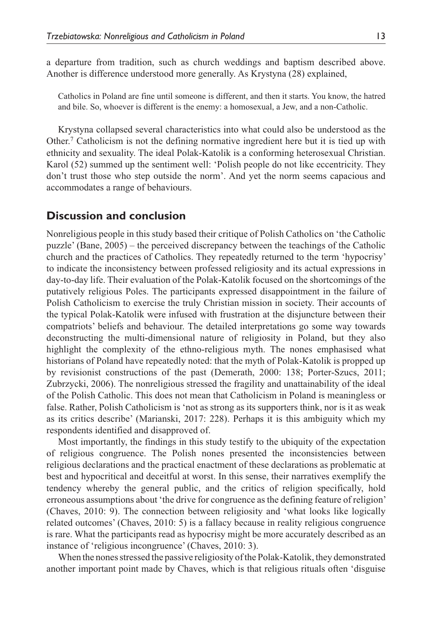a departure from tradition, such as church weddings and baptism described above. Another is difference understood more generally. As Krystyna (28) explained,

Catholics in Poland are fine until someone is different, and then it starts. You know, the hatred and bile. So, whoever is different is the enemy: a homosexual, a Jew, and a non-Catholic.

Krystyna collapsed several characteristics into what could also be understood as the Other.<sup>7</sup> Catholicism is not the defining normative ingredient here but it is tied up with ethnicity and sexuality. The ideal Polak-Katolik is a conforming heterosexual Christian. Karol (52) summed up the sentiment well: 'Polish people do not like eccentricity. They don't trust those who step outside the norm'. And yet the norm seems capacious and accommodates a range of behaviours.

## **Discussion and conclusion**

Nonreligious people in this study based their critique of Polish Catholics on 'the Catholic puzzle' (Bane, 2005) – the perceived discrepancy between the teachings of the Catholic church and the practices of Catholics. They repeatedly returned to the term 'hypocrisy' to indicate the inconsistency between professed religiosity and its actual expressions in day-to-day life. Their evaluation of the Polak-Katolik focused on the shortcomings of the putatively religious Poles. The participants expressed disappointment in the failure of Polish Catholicism to exercise the truly Christian mission in society. Their accounts of the typical Polak-Katolik were infused with frustration at the disjuncture between their compatriots' beliefs and behaviour. The detailed interpretations go some way towards deconstructing the multi-dimensional nature of religiosity in Poland, but they also highlight the complexity of the ethno-religious myth. The nones emphasised what historians of Poland have repeatedly noted: that the myth of Polak-Katolik is propped up by revisionist constructions of the past (Demerath, 2000: 138; Porter-Szucs, 2011; Zubrzycki, 2006). The nonreligious stressed the fragility and unattainability of the ideal of the Polish Catholic. This does not mean that Catholicism in Poland is meaningless or false. Rather, Polish Catholicism is 'not as strong as its supporters think, nor is it as weak as its critics describe' (Marianski, 2017: 228). Perhaps it is this ambiguity which my respondents identified and disapproved of.

Most importantly, the findings in this study testify to the ubiquity of the expectation of religious congruence. The Polish nones presented the inconsistencies between religious declarations and the practical enactment of these declarations as problematic at best and hypocritical and deceitful at worst. In this sense, their narratives exemplify the tendency whereby the general public, and the critics of religion specifically, hold erroneous assumptions about 'the drive for congruence as the defining feature of religion' (Chaves, 2010: 9). The connection between religiosity and 'what looks like logically related outcomes' (Chaves, 2010: 5) is a fallacy because in reality religious congruence is rare. What the participants read as hypocrisy might be more accurately described as an instance of 'religious incongruence' (Chaves, 2010: 3).

When the nones stressed the passive religiosity of the Polak-Katolik, they demonstrated another important point made by Chaves, which is that religious rituals often 'disguise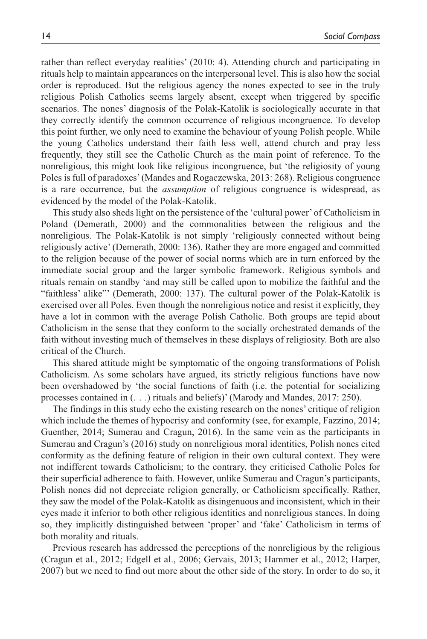rather than reflect everyday realities' (2010: 4). Attending church and participating in rituals help to maintain appearances on the interpersonal level. This is also how the social order is reproduced. But the religious agency the nones expected to see in the truly religious Polish Catholics seems largely absent, except when triggered by specific scenarios. The nones' diagnosis of the Polak-Katolik is sociologically accurate in that they correctly identify the common occurrence of religious incongruence. To develop this point further, we only need to examine the behaviour of young Polish people. While the young Catholics understand their faith less well, attend church and pray less frequently, they still see the Catholic Church as the main point of reference. To the nonreligious, this might look like religious incongruence, but 'the religiosity of young Poles is full of paradoxes' (Mandes and Rogaczewska, 2013: 268). Religious congruence is a rare occurrence, but the *assumption* of religious congruence is widespread, as evidenced by the model of the Polak-Katolik.

This study also sheds light on the persistence of the 'cultural power' of Catholicism in Poland (Demerath, 2000) and the commonalities between the religious and the nonreligious. The Polak-Katolik is not simply 'religiously connected without being religiously active' (Demerath, 2000: 136). Rather they are more engaged and committed to the religion because of the power of social norms which are in turn enforced by the immediate social group and the larger symbolic framework. Religious symbols and rituals remain on standby 'and may still be called upon to mobilize the faithful and the "faithless' alike"' (Demerath, 2000: 137). The cultural power of the Polak-Katolik is exercised over all Poles. Even though the nonreligious notice and resist it explicitly, they have a lot in common with the average Polish Catholic. Both groups are tepid about Catholicism in the sense that they conform to the socially orchestrated demands of the faith without investing much of themselves in these displays of religiosity. Both are also critical of the Church.

This shared attitude might be symptomatic of the ongoing transformations of Polish Catholicism. As some scholars have argued, its strictly religious functions have now been overshadowed by 'the social functions of faith (i.e. the potential for socializing processes contained in (. . .) rituals and beliefs)' (Marody and Mandes, 2017: 250).

The findings in this study echo the existing research on the nones' critique of religion which include the themes of hypocrisy and conformity (see, for example, Fazzino, 2014; Guenther, 2014; Sumerau and Cragun, 2016). In the same vein as the participants in Sumerau and Cragun's (2016) study on nonreligious moral identities, Polish nones cited conformity as the defining feature of religion in their own cultural context. They were not indifferent towards Catholicism; to the contrary, they criticised Catholic Poles for their superficial adherence to faith. However, unlike Sumerau and Cragun's participants, Polish nones did not depreciate religion generally, or Catholicism specifically. Rather, they saw the model of the Polak-Katolik as disingenuous and inconsistent, which in their eyes made it inferior to both other religious identities and nonreligious stances. In doing so, they implicitly distinguished between 'proper' and 'fake' Catholicism in terms of both morality and rituals.

Previous research has addressed the perceptions of the nonreligious by the religious (Cragun et al., 2012; Edgell et al., 2006; Gervais, 2013; Hammer et al., 2012; Harper, 2007) but we need to find out more about the other side of the story. In order to do so, it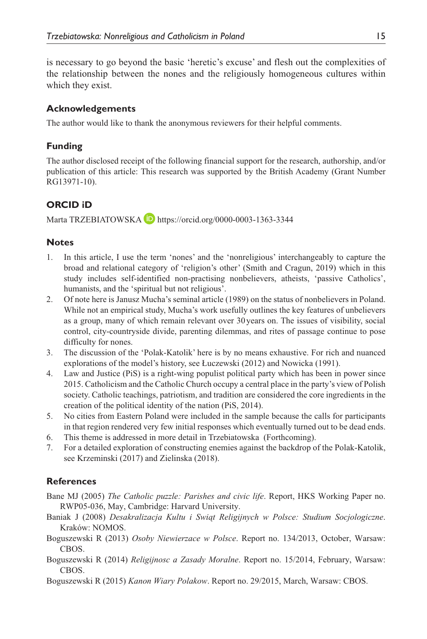is necessary to go beyond the basic 'heretic's excuse' and flesh out the complexities of the relationship between the nones and the religiously homogeneous cultures within which they exist.

## **Acknowledgements**

The author would like to thank the anonymous reviewers for their helpful comments.

## **Funding**

The author disclosed receipt of the following financial support for the research, authorship, and/or publication of this article: This research was supported by the British Academy (Grant Number RG13971-10).

## **ORCID iD**

Marta TRZEBIATOWSKA **(D**<https://orcid.org/0000-0003-1363-3344>

## **Notes**

- 1. In this article, I use the term 'nones' and the 'nonreligious' interchangeably to capture the broad and relational category of 'religion's other' (Smith and Cragun, 2019) which in this study includes self-identified non-practising nonbelievers, atheists, 'passive Catholics', humanists, and the 'spiritual but not religious'.
- 2. Of note here is Janusz Mucha's seminal article (1989) on the status of nonbelievers in Poland. While not an empirical study, Mucha's work usefully outlines the key features of unbelievers as a group, many of which remain relevant over 30years on. The issues of visibility, social control, city-countryside divide, parenting dilemmas, and rites of passage continue to pose difficulty for nones.
- 3. The discussion of the 'Polak-Katolik' here is by no means exhaustive. For rich and nuanced explorations of the model's history, see Łuczewski (2012) and Nowicka (1991).
- 4. Law and Justice (PiS) is a right-wing populist political party which has been in power since 2015. Catholicism and the Catholic Church occupy a central place in the party's view of Polish society. Catholic teachings, patriotism, and tradition are considered the core ingredients in the creation of the political identity of the nation (PiS, 2014).
- 5. No cities from Eastern Poland were included in the sample because the calls for participants in that region rendered very few initial responses which eventually turned out to be dead ends.
- 6. This theme is addressed in more detail in Trzebiatowska (Forthcoming).
- 7. For a detailed exploration of constructing enemies against the backdrop of the Polak-Katolik, see Krzeminski (2017) and Zielinska (2018).

## **References**

- Bane MJ (2005) *The Catholic puzzle: Parishes and civic life*. Report, HKS Working Paper no. RWP05-036, May, Cambridge: Harvard University.
- Baniak J (2008) *Desakralizacja Kultu i Swiąt Religijnych w Polsce: Studium Socjologiczne*. Kraków: NOMOS.
- Boguszewski R (2013) *Osoby Niewierzace w Polsce*. Report no. 134/2013, October, Warsaw: CBOS.
- Boguszewski R (2014) *Religijnosc a Zasady Moralne*. Report no. 15/2014, February, Warsaw: CBOS.
- Boguszewski R (2015) *Kanon Wiary Polakow*. Report no. 29/2015, March, Warsaw: CBOS.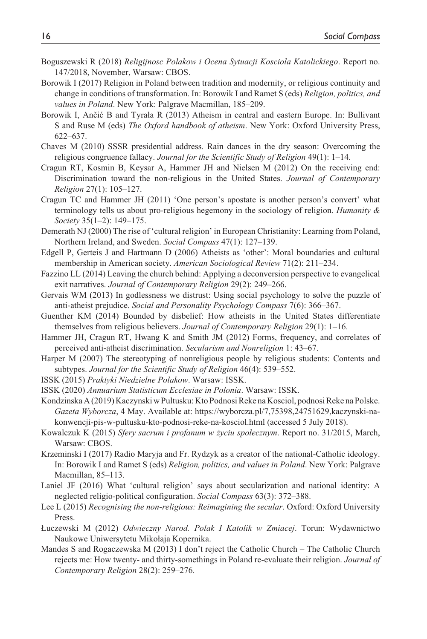- Boguszewski R (2018) *Religijnosc Polakow i Ocena Sytuacji Kosciola Katolickiego*. Report no. 147/2018, November, Warsaw: CBOS.
- Borowik I (2017) Religion in Poland between tradition and modernity, or religious continuity and change in conditions of transformation. In: Borowik I and Ramet S (eds) *Religion, politics, and values in Poland*. New York: Palgrave Macmillan, 185–209.
- Borowik I, Ančić B and Tyrała R (2013) Atheism in central and eastern Europe. In: Bullivant S and Ruse M (eds) *The Oxford handbook of atheism*. New York: Oxford University Press, 622–637.
- Chaves M (2010) SSSR presidential address. Rain dances in the dry season: Overcoming the religious congruence fallacy. *Journal for the Scientific Study of Religion* 49(1): 1–14.
- Cragun RT, Kosmin B, Keysar A, Hammer JH and Nielsen M (2012) On the receiving end: Discrimination toward the non-religious in the United States. *Journal of Contemporary Religion* 27(1): 105–127.
- Cragun TC and Hammer JH (2011) 'One person's apostate is another person's convert' what terminology tells us about pro-religious hegemony in the sociology of religion. *Humanity & Society* 35(1–2): 149–175.
- Demerath NJ (2000) The rise of 'cultural religion' in European Christianity: Learning from Poland, Northern Ireland, and Sweden. *Social Compass* 47(1): 127–139.
- Edgell P, Gerteis J and Hartmann D (2006) Atheists as 'other': Moral boundaries and cultural membership in American society. *American Sociological Review* 71(2): 211–234.
- Fazzino LL (2014) Leaving the church behind: Applying a deconversion perspective to evangelical exit narratives. *Journal of Contemporary Religion* 29(2): 249–266.
- Gervais WM (2013) In godlessness we distrust: Using social psychology to solve the puzzle of anti-atheist prejudice. *Social and Personality Psychology Compass* 7(6): 366–367.
- Guenther KM (2014) Bounded by disbelief: How atheists in the United States differentiate themselves from religious believers. *Journal of Contemporary Religion* 29(1): 1–16.
- Hammer JH, Cragun RT, Hwang K and Smith JM (2012) Forms, frequency, and correlates of perceived anti-atheist discrimination. *Secularism and Nonreligion* 1: 43–67.
- Harper M (2007) The stereotyping of nonreligious people by religious students: Contents and subtypes. *Journal for the Scientific Study of Religion* 46(4): 539–552.
- ISSK (2015) *Praktyki Niedzielne Polakow*. Warsaw: ISSK.
- ISSK (2020) *Annuarium Statisticum Ecclesiae in Polonia*. Warsaw: ISSK.
- Kondzinska A (2019) Kaczynski w Pultusku: Kto Podnosi Reke na Kosciol, podnosi Reke na Polske. *Gazeta Wyborcza*, 4 May. Available at: [https://wyborcza.pl/7,75398,24751629,kaczynski-na](https://wyborcza.pl/7,75398,24751629,kaczynski-na-konwencji-pis-w-pultusku-kto-podnosi-reke-na-kosciol.html)[konwencji-pis-w-pultusku-kto-podnosi-reke-na-kosciol.html](https://wyborcza.pl/7,75398,24751629,kaczynski-na-konwencji-pis-w-pultusku-kto-podnosi-reke-na-kosciol.html) (accessed 5 July 2018).
- Kowalczuk K (2015) *Sfery sacrum i profanum w życiu społecznym*. Report no. 31/2015, March, Warsaw: CBOS.
- Krzeminski I (2017) Radio Maryja and Fr. Rydzyk as a creator of the national-Catholic ideology. In: Borowik I and Ramet S (eds) *Religion, politics, and values in Poland*. New York: Palgrave Macmillan, 85–113.
- Laniel JF (2016) What 'cultural religion' says about secularization and national identity: A neglected religio-political configuration. *Social Compass* 63(3): 372–388.
- Lee L (2015) *Recognising the non-religious: Reimagining the secular*. Oxford: Oxford University Press.
- Łuczewski M (2012) *Odwieczny Narod. Polak I Katolik w Zmiacej*. Torun: Wydawnictwo Naukowe Uniwersytetu Mikołaja Kopernika.
- Mandes S and Rogaczewska M (2013) I don't reject the Catholic Church The Catholic Church rejects me: How twenty- and thirty-somethings in Poland re-evaluate their religion. *Journal of Contemporary Religion* 28(2): 259–276.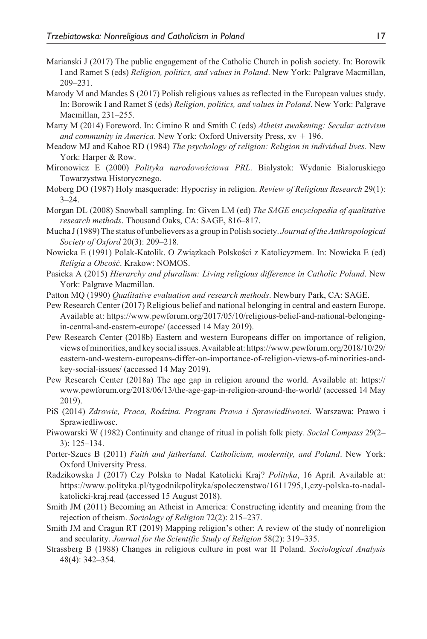- Marianski J (2017) The public engagement of the Catholic Church in polish society. In: Borowik I and Ramet S (eds) *Religion, politics, and values in Poland*. New York: Palgrave Macmillan, 209–231.
- Marody M and Mandes S (2017) Polish religious values as reflected in the European values study. In: Borowik I and Ramet S (eds) *Religion, politics, and values in Poland*. New York: Palgrave Macmillan, 231–255.
- Marty M (2014) Foreword. In: Cimino R and Smith C (eds) *Atheist awakening: Secular activism and community in America*. New York: Oxford University Press, xv + 196.
- Meadow MJ and Kahoe RD (1984) *The psychology of religion: Religion in individual lives*. New York: Harper & Row.
- Mironowicz E (2000) *Polityka narodowościowa PRL*. Bialystok: Wydanie Bialoruskiego Towarzystwa Historycznego.
- Moberg DO (1987) Holy masquerade: Hypocrisy in religion. *Review of Religious Research* 29(1):  $3 - 24$ .
- Morgan DL (2008) Snowball sampling. In: Given LM (ed) *The SAGE encyclopedia of qualitative research methods*. Thousand Oaks, CA: SAGE, 816–817.
- Mucha J (1989) The status of unbelievers as a group in Polish society. *Journal of the Anthropological Society of Oxford* 20(3): 209–218.
- Nowicka E (1991) Polak-Katolik. O Związkach Polskości z Katolicyzmem. In: Nowicka E (ed) *Religia a Obcość*. Krakow: NOMOS.
- Pasieka A (2015) *Hierarchy and pluralism: Living religious difference in Catholic Poland*. New York: Palgrave Macmillan.
- Patton MQ (1990) *Qualitative evaluation and research methods*. Newbury Park, CA: SAGE.
- Pew Research Center (2017) Religious belief and national belonging in central and eastern Europe. Available at: [https://www.pewforum.org/2017/05/10/religious-belief-and-national-belonging](https://www.pewforum.org/2017/05/10/religious-belief-and-national-belonging-in-central-and-eastern-europe/)[in-central-and-eastern-europe/](https://www.pewforum.org/2017/05/10/religious-belief-and-national-belonging-in-central-and-eastern-europe/) (accessed 14 May 2019).
- Pew Research Center (2018b) Eastern and western Europeans differ on importance of religion, views of minorities, and key social issues. Available at: [https://www.pewforum.org/2018/10/29/](https://www.pewforum.org/2018/10/29/eastern-and-western-europeans-differ-on-importance-of-religion-views-of-minorities-and-key-social-issues/) [eastern-and-western-europeans-differ-on-importance-of-religion-views-of-minorities-and](https://www.pewforum.org/2018/10/29/eastern-and-western-europeans-differ-on-importance-of-religion-views-of-minorities-and-key-social-issues/)[key-social-issues/](https://www.pewforum.org/2018/10/29/eastern-and-western-europeans-differ-on-importance-of-religion-views-of-minorities-and-key-social-issues/) (accessed 14 May 2019).
- Pew Research Center (2018a) The age gap in religion around the world. Available at: [https://](https://www.pewforum.org/2018/06/13/the-age-gap-in-religion-around-the-world/) [www.pewforum.org/2018/06/13/the-age-gap-in-religion-around-the-world/](https://www.pewforum.org/2018/06/13/the-age-gap-in-religion-around-the-world/) (accessed 14 May 2019).
- PiS (2014) *Zdrowie, Praca, Rodzina. Program Prawa i Sprawiedliwosci*. Warszawa: Prawo i Sprawiedliwosc.
- Piwowarski W (1982) Continuity and change of ritual in polish folk piety. *Social Compass* 29(2– 3): 125–134.
- Porter-Szucs B (2011) *Faith and fatherland. Catholicism, modernity, and Poland*. New York: Oxford University Press.
- Radzikowska J (2017) Czy Polska to Nadal Katolicki Kraj? *Polityka*, 16 April. Available at: [https://www.polityka.pl/tygodnikpolityka/spoleczenstwo/1611795,1,czy-polska-to-nadal](https://www.polityka.pl/tygodnikpolityka/spoleczenstwo/1611795,1,czy-polska-to-nadal-katolicki-kraj.read)[katolicki-kraj.read](https://www.polityka.pl/tygodnikpolityka/spoleczenstwo/1611795,1,czy-polska-to-nadal-katolicki-kraj.read) (accessed 15 August 2018).
- Smith JM (2011) Becoming an Atheist in America: Constructing identity and meaning from the rejection of theism. *Sociology of Religion* 72(2): 215–237.
- Smith JM and Cragun RT (2019) Mapping religion's other: A review of the study of nonreligion and secularity. *Journal for the Scientific Study of Religion* 58(2): 319–335.
- Strassberg B (1988) Changes in religious culture in post war II Poland. *Sociological Analysis* 48(4): 342–354.